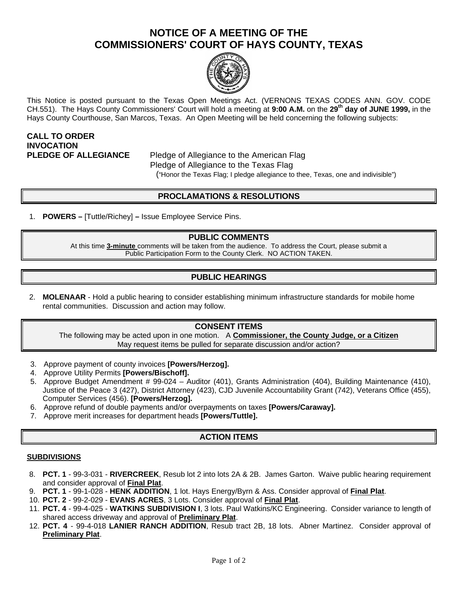# **NOTICE OF A MEETING OF THE COMMISSIONERS' COURT OF HAYS COUNTY, TEXAS**



This Notice is posted pursuant to the Texas Open Meetings Act. (VERNONS TEXAS CODES ANN. GOV. CODE CH.551). The Hays County Commissioners' Court will hold a meeting at **9:00 A.M.** on the **29th day of JUNE 1999,** in the Hays County Courthouse, San Marcos, Texas. An Open Meeting will be held concerning the following subjects:

# **CALL TO ORDER INVOCATION**

**PLEDGE OF ALLEGIANCE** Pledge of Allegiance to the American Flag Pledge of Allegiance to the Texas Flag ("Honor the Texas Flag; I pledge allegiance to thee, Texas, one and indivisible")

# **PROCLAMATIONS & RESOLUTIONS**

1. **POWERS –** [Tuttle/Richey] **–** Issue Employee Service Pins.

#### **PUBLIC COMMENTS**

At this time **3-minute** comments will be taken from the audience. To address the Court, please submit a Public Participation Form to the County Clerk. NO ACTION TAKEN.

### **PUBLIC HEARINGS**

2. **MOLENAAR** - Hold a public hearing to consider establishing minimum infrastructure standards for mobile home rental communities. Discussion and action may follow.

#### **CONSENT ITEMS**

The following may be acted upon in one motion. A **Commissioner, the County Judge, or a Citizen** May request items be pulled for separate discussion and/or action?

- 3. Approve payment of county invoices **[Powers/Herzog].**
- 4. Approve Utility Permits **[Powers/Bischoff].**
- 5. Approve Budget Amendment # 99-024 Auditor (401), Grants Administration (404), Building Maintenance (410), Justice of the Peace 3 (427), District Attorney (423), CJD Juvenile Accountability Grant (742), Veterans Office (455), Computer Services (456). **[Powers/Herzog].**
- 6. Approve refund of double payments and/or overpayments on taxes **[Powers/Caraway].**
- 7. Approve merit increases for department heads **[Powers/Tuttle].**

#### **ACTION ITEMS**

#### **SUBDIVISIONS**

- 8. **PCT. 1** 99-3-031 **RIVERCREEK**, Resub lot 2 into lots 2A & 2B. James Garton. Waive public hearing requirement and consider approval of **Final Plat**.
- 9. **PCT. 1** 99-1-028 **HENK ADDITION**, 1 lot. Hays Energy/Byrn & Ass. Consider approval of **Final Plat**.
- 10. **PCT. 2** 99-2-029 **EVANS ACRES**, 3 Lots. Consider approval of **Final Plat**.
- 11. **PCT. 4** 99-4-025 **WATKINS SUBDIVISION I**, 3 lots. Paul Watkins/KC Engineering. Consider variance to length of shared access driveway and approval of **Preliminary Plat**.
- 12. **PCT. 4**  99-4-018 **LANIER RANCH ADDITION**, Resub tract 2B, 18 lots. Abner Martinez. Consider approval of **Preliminary Plat**.